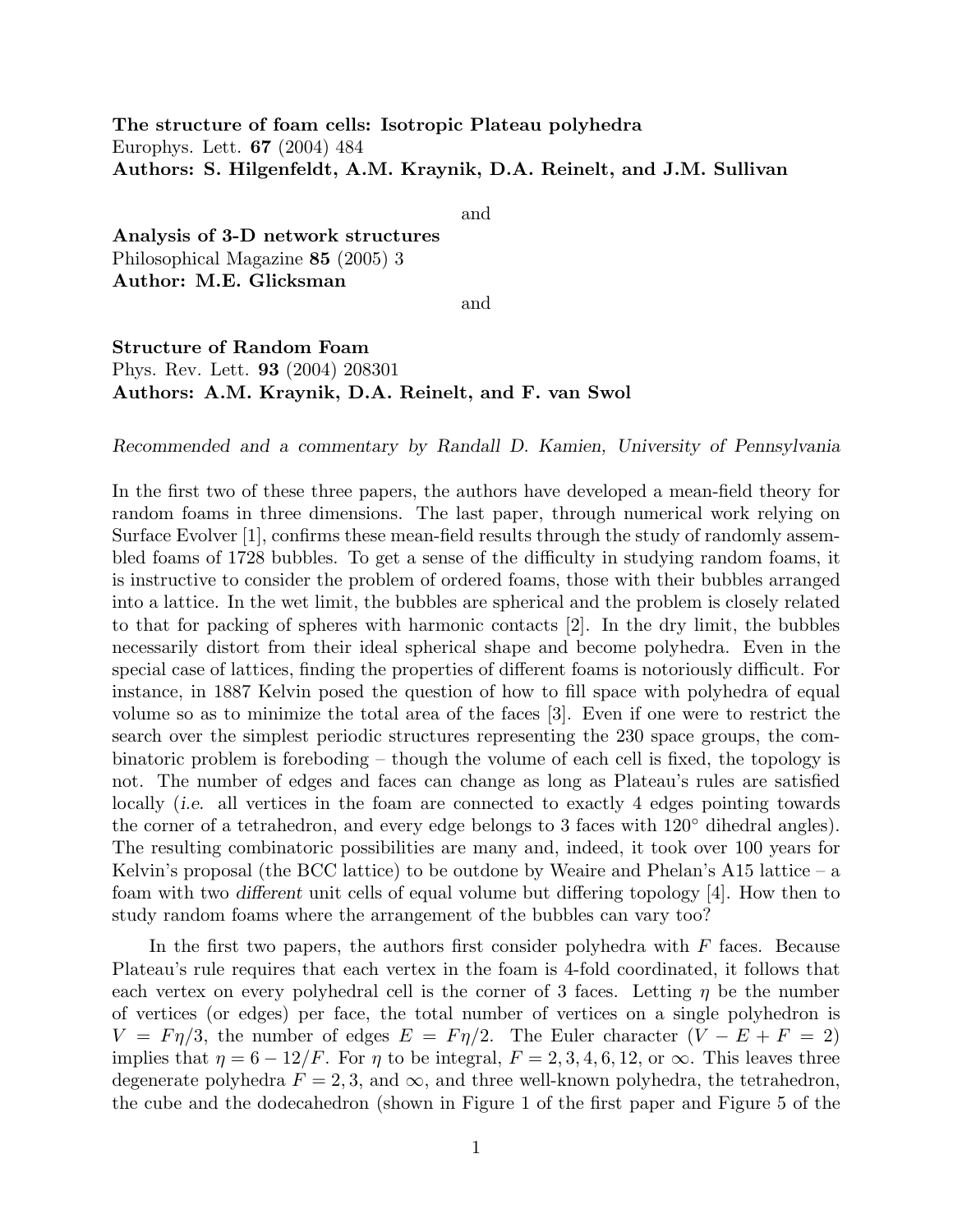The structure of foam cells: Isotropic Plateau polyhedra Europhys. Lett. 67 (2004) 484 Authors: S. Hilgenfeldt, A.M. Kraynik, D.A. Reinelt, and J.M. Sullivan

and

Analysis of 3-D network structures Philosophical Magazine 85 (2005) 3 Author: M.E. Glicksman

and

## Structure of Random Foam Phys. Rev. Lett. 93 (2004) 208301 Authors: A.M. Kraynik, D.A. Reinelt, and F. van Swol

Recommended and a commentary by Randall D. Kamien, University of Pennsylvania

In the first two of these three papers, the authors have developed a mean-field theory for random foams in three dimensions. The last paper, through numerical work relying on Surface Evolver [1], confirms these mean-field results through the study of randomly assembled foams of 1728 bubbles. To get a sense of the difficulty in studying random foams, it is instructive to consider the problem of ordered foams, those with their bubbles arranged into a lattice. In the wet limit, the bubbles are spherical and the problem is closely related to that for packing of spheres with harmonic contacts [2]. In the dry limit, the bubbles necessarily distort from their ideal spherical shape and become polyhedra. Even in the special case of lattices, finding the properties of different foams is notoriously difficult. For instance, in 1887 Kelvin posed the question of how to fill space with polyhedra of equal volume so as to minimize the total area of the faces [3]. Even if one were to restrict the search over the simplest periodic structures representing the 230 space groups, the combinatoric problem is foreboding – though the volume of each cell is fixed, the topology is not. The number of edges and faces can change as long as Plateau's rules are satisfied locally *(i.e.* all vertices in the foam are connected to exactly 4 edges pointing towards the corner of a tetrahedron, and every edge belongs to 3 faces with  $120°$  dihedral angles). The resulting combinatoric possibilities are many and, indeed, it took over 100 years for Kelvin's proposal (the BCC lattice) to be outdone by Weaire and Phelan's A15 lattice  $-$  a foam with two different unit cells of equal volume but differing topology [4]. How then to study random foams where the arrangement of the bubbles can vary too?

In the first two papers, the authors first consider polyhedra with  $F$  faces. Because Plateau's rule requires that each vertex in the foam is 4-fold coordinated, it follows that each vertex on every polyhedral cell is the corner of 3 faces. Letting  $\eta$  be the number of vertices (or edges) per face, the total number of vertices on a single polyhedron is  $V = F \eta/3$ , the number of edges  $E = F \eta/2$ . The Euler character  $(V - E + F = 2)$ implies that  $\eta = 6 - 12/F$ . For  $\eta$  to be integral,  $F = 2, 3, 4, 6, 12$ , or  $\infty$ . This leaves three degenerate polyhedra  $F = 2, 3$ , and  $\infty$ , and three well-known polyhedra, the tetrahedron, the cube and the dodecahedron (shown in Figure 1 of the first paper and Figure 5 of the